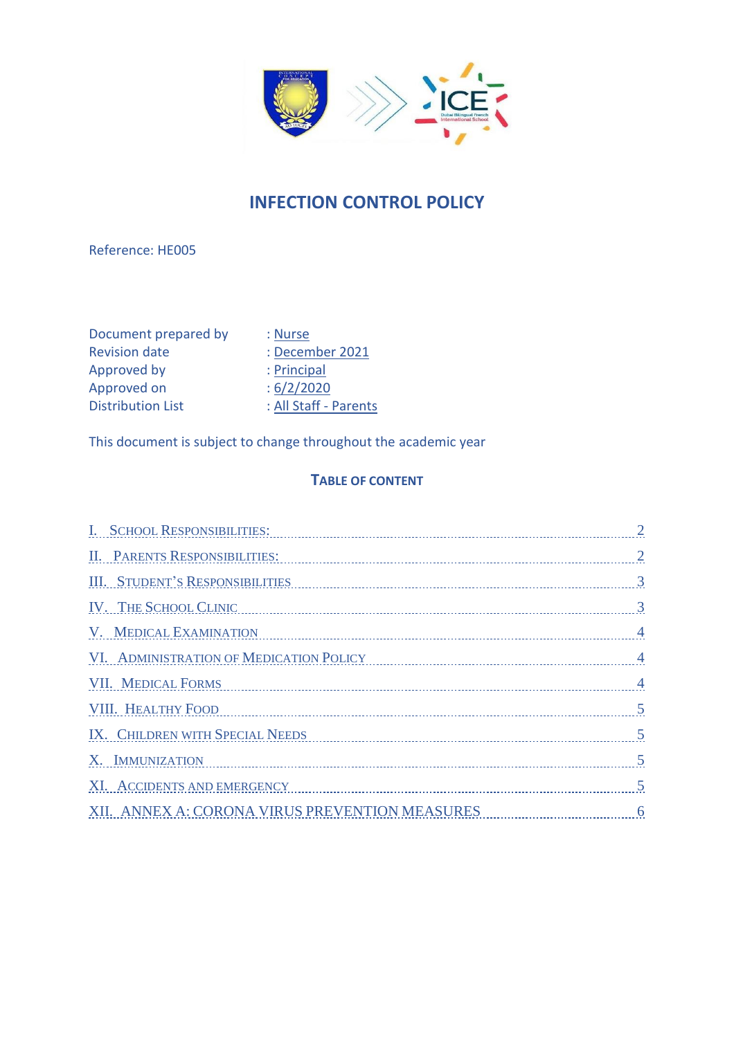

# **INFECTION CONTROL POLICY**

Reference: HE005

Document prepared by : Nurse<br>Revision date : Decem Approved by : Principal<br>Approved on : 6/2/2020 Approved on<br>Distribution List

Revision de :<br>
Revision de :<br>
Revision de :<br>
Revision de :<br>
Revision de :<br>
Revision de :<br>
Revision de :<br>
Revision de :<br>
Revision de :<br>
Revision de :<br>
Revision de :<br>
Revision de :<br>
Revision de :<br>
Revision de :<br>
Revision de : All Staff - Parents

This document is subject to change throughout the academic year

### **TABLE OF CONTENT**

| I. SCHOOL RESPONSIBILITIES:                                                                 |                |
|---------------------------------------------------------------------------------------------|----------------|
| <b>II. PARENTS RESPONSIBILITIES:</b>                                                        |                |
| <b>III. STUDENT'S RESPONSIBILITIES</b>                                                      |                |
| IV. THE SCHOOL CLINIC                                                                       |                |
| V. MEDICAL EXAMINATION                                                                      | $\overline{4}$ |
| VI. ADMINISTRATION OF MEDICATION POLICY 4                                                   |                |
| <b>VII. MEDICAL FORMS</b>                                                                   |                |
| VIII. HEALTHY FOOD 5                                                                        |                |
| IX. CHILDREN WITH SPECIAL NEEDS 5                                                           |                |
| X. IMMUNIZATION 5                                                                           |                |
| XI. ACCIDENTS AND EMERGENCY CONTINUES AND THE RESIDENCE OF A SERIES AND FORECAST CONTINUES. | $\overline{5}$ |
| XII. ANNEX A: CORONA VIRUS PREVENTION MEASURES                                              |                |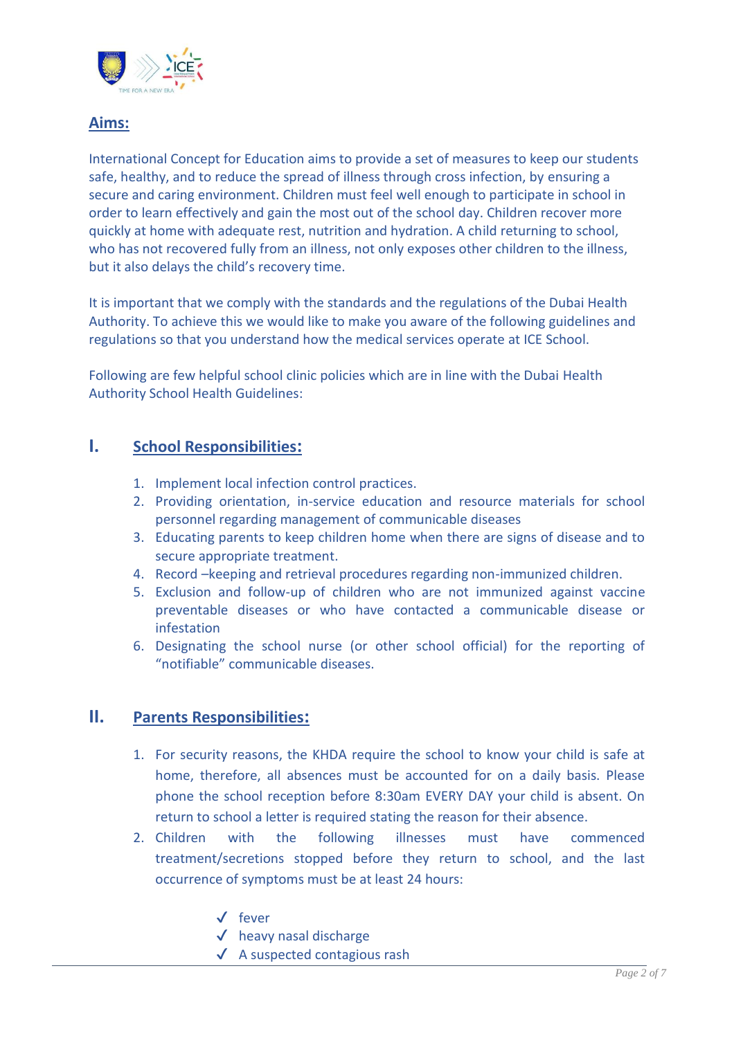

### **Aims:**

International Concept for Education aims to provide a set of measures to keep our students safe, healthy, and to reduce the spread of illness through cross infection, by ensuring a secure and caring environment. Children must feel well enough to participate in school in order to learn effectively and gain the most out of the school day. Children recover more quickly at home with adequate rest, nutrition and hydration. A child returning to school, who has not recovered fully from an illness, not only exposes other children to the illness, but it also delays the child's recovery time.

It is important that we comply with the standards and the regulations of the Dubai Health Authority. To achieve this we would like to make you aware of the following guidelines and regulations so that you understand how the medical services operate at ICE School.

Following are few helpful school clinic policies which are in line with the Dubai Health Authority School Health Guidelines:

### <span id="page-1-0"></span>**I. School Responsibilities:**

- 1. Implement local infection control practices.
- 2. Providing orientation, in-service education and resource materials for school personnel regarding management of communicable diseases
- 3. Educating parents to keep children home when there are signs of disease and to secure appropriate treatment.
- 4. Record –keeping and retrieval procedures regarding non-immunized children.
- 5. Exclusion and follow-up of children who are not immunized against vaccine preventable diseases or who have contacted a communicable disease or infestation
- 6. Designating the school nurse (or other school official) for the reporting of "notifiable" communicable diseases.

### <span id="page-1-1"></span>**II. Parents Responsibilities:**

- 1. For security reasons, the KHDA require the school to know your child is safe at home, therefore, all absences must be accounted for on a daily basis. Please phone the school reception before 8:30am EVERY DAY your child is absent. On return to school a letter is required stating the reason for their absence.
- 2. Children with the following illnesses must have commenced treatment/secretions stopped before they return to school, and the last occurrence of symptoms must be at least 24 hours:
	- ✔ fever
	- $\checkmark$  heavy nasal discharge
	- $\sqrt{\phantom{a}}$  A suspected contagious rash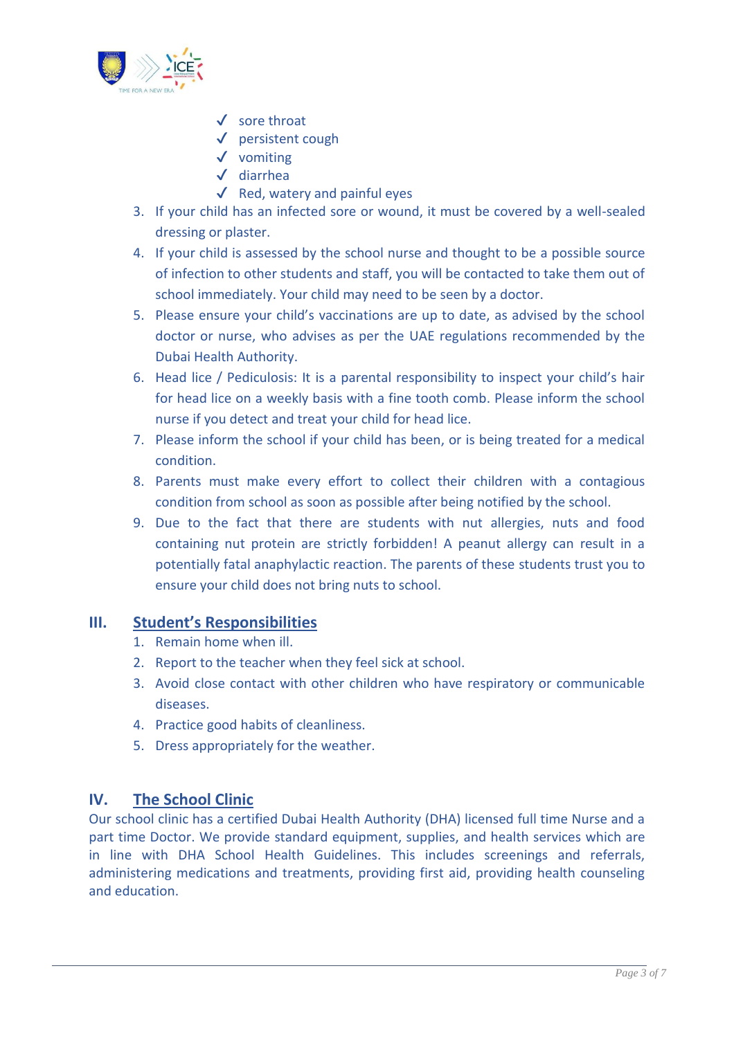

- ✔ sore throat
- ✔ persistent cough
- ✔ vomiting
- ✔ diarrhea
- $\checkmark$  Red, watery and painful eyes
- 3. If your child has an infected sore or wound, it must be covered by a well-sealed dressing or plaster.
- 4. If your child is assessed by the school nurse and thought to be a possible source of infection to other students and staff, you will be contacted to take them out of school immediately. Your child may need to be seen by a doctor.
- 5. Please ensure your child's vaccinations are up to date, as advised by the school doctor or nurse, who advises as per the UAE regulations recommended by the Dubai Health Authority.
- 6. Head lice / Pediculosis: It is a parental responsibility to inspect your child's hair for head lice on a weekly basis with a fine tooth comb. Please inform the school nurse if you detect and treat your child for head lice.
- 7. Please inform the school if your child has been, or is being treated for a medical condition.
- 8. Parents must make every effort to collect their children with a contagious condition from school as soon as possible after being notified by the school.
- 9. Due to the fact that there are students with nut allergies, nuts and food containing nut protein are strictly forbidden! A peanut allergy can result in a potentially fatal anaphylactic reaction. The parents of these students trust you to ensure your child does not bring nuts to school.

### <span id="page-2-0"></span>**III. Student's Responsibilities**

- 1. Remain home when ill.
- 2. Report to the teacher when they feel sick at school.
- 3. Avoid close contact with other children who have respiratory or communicable diseases.
- 4. Practice good habits of cleanliness.
- 5. Dress appropriately for the weather.

### <span id="page-2-1"></span>**IV. The School Clinic**

Our school clinic has a certified Dubai Health Authority (DHA) licensed full time Nurse and a part time Doctor. We provide standard equipment, supplies, and health services which are in line with DHA School Health Guidelines. This includes screenings and referrals, administering medications and treatments, providing first aid, providing health counseling and education.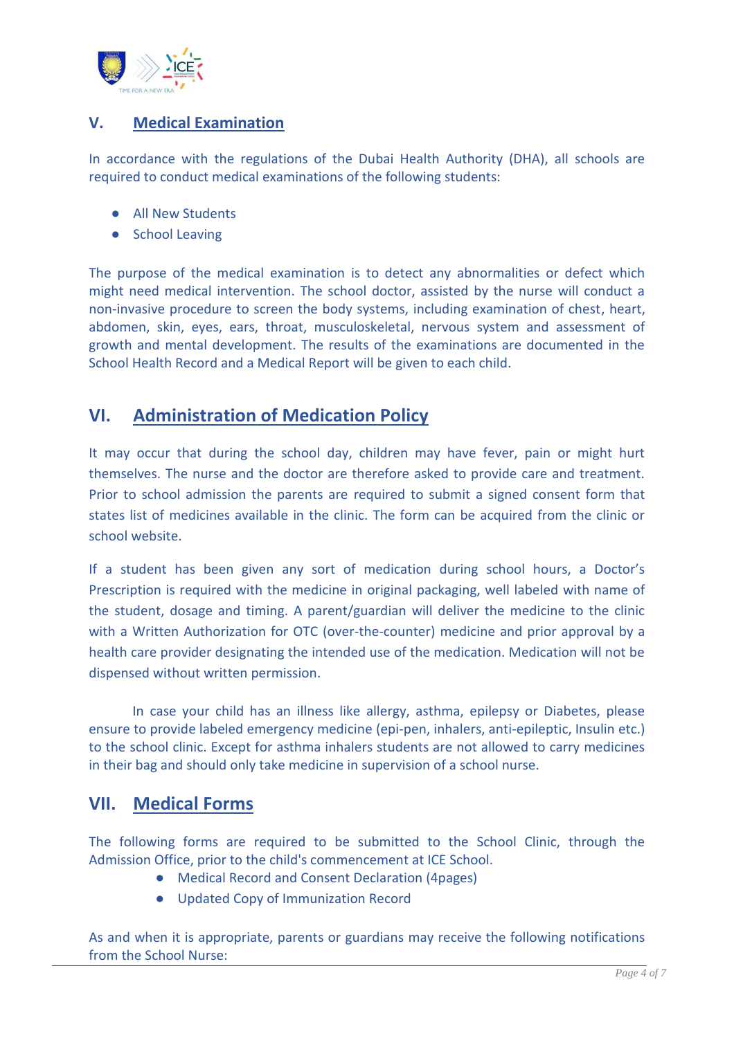

### <span id="page-3-0"></span>**V. Medical Examination**

In accordance with the regulations of the Dubai Health Authority (DHA), all schools are required to conduct medical examinations of the following students:

- All New Students
- School Leaving

The purpose of the medical examination is to detect any abnormalities or defect which might need medical intervention. The school doctor, assisted by the nurse will conduct a non-invasive procedure to screen the body systems, including examination of chest, heart, abdomen, skin, eyes, ears, throat, musculoskeletal, nervous system and assessment of growth and mental development. The results of the examinations are documented in the School Health Record and a Medical Report will be given to each child.

## <span id="page-3-1"></span>**VI. Administration of Medication Policy**

It may occur that during the school day, children may have fever, pain or might hurt themselves. The nurse and the doctor are therefore asked to provide care and treatment. Prior to school admission the parents are required to submit a signed consent form that states list of medicines available in the clinic. The form can be acquired from the clinic or school website.

If a student has been given any sort of medication during school hours, a Doctor's Prescription is required with the medicine in original packaging, well labeled with name of the student, dosage and timing. A parent/guardian will deliver the medicine to the clinic with a Written Authorization for OTC (over-the-counter) medicine and prior approval by a health care provider designating the intended use of the medication. Medication will not be dispensed without written permission.

In case your child has an illness like allergy, asthma, epilepsy or Diabetes, please ensure to provide labeled emergency medicine (epi-pen, inhalers, anti-epileptic, Insulin etc.) to the school clinic. Except for asthma inhalers students are not allowed to carry medicines in their bag and should only take medicine in supervision of a school nurse.

## <span id="page-3-2"></span>**VII. Medical Forms**

The following forms are required to be submitted to the School Clinic, through the Admission Office, prior to the child's commencement at ICE School.

- Medical Record and Consent Declaration (4pages)
- Updated Copy of Immunization Record

As and when it is appropriate, parents or guardians may receive the following notifications from the School Nurse: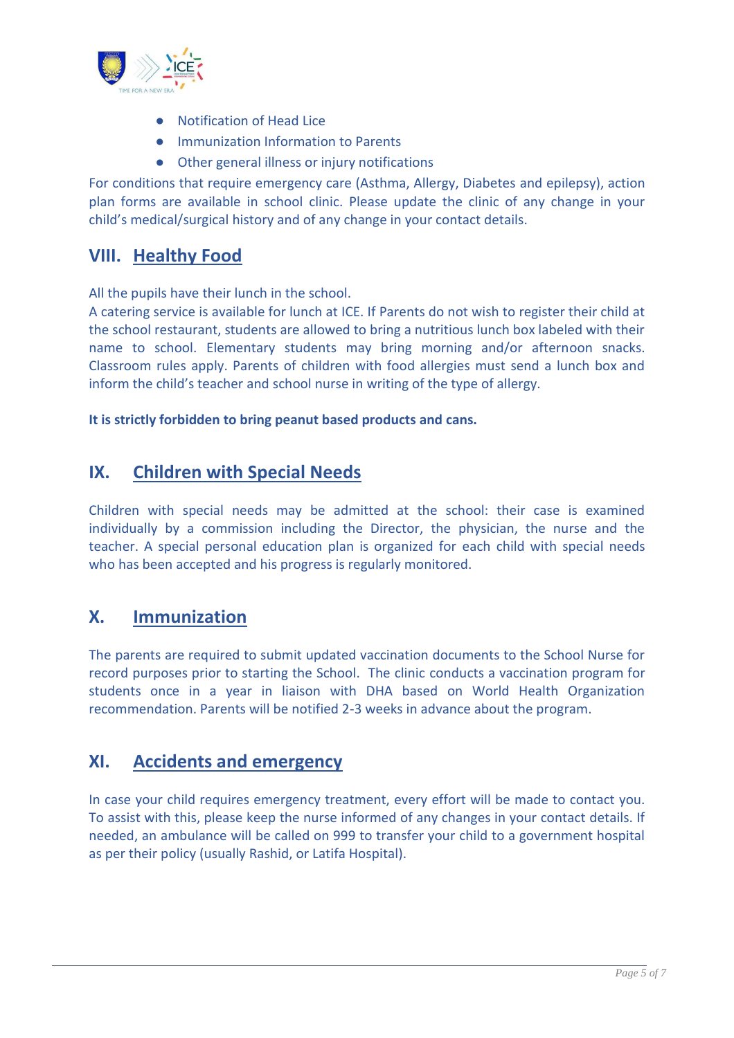

- Notification of Head Lice
- Immunization Information to Parents
- Other general illness or injury notifications

For conditions that require emergency care (Asthma, Allergy, Diabetes and epilepsy), action plan forms are available in school clinic. Please update the clinic of any change in your child's medical/surgical history and of any change in your contact details.

## <span id="page-4-0"></span>**VIII. Healthy Food**

All the pupils have their lunch in the school.

A catering service is available for lunch at ICE. If Parents do not wish to register their child at the school restaurant, students are allowed to bring a nutritious lunch box labeled with their name to school. Elementary students may bring morning and/or afternoon snacks. Classroom rules apply. Parents of children with food allergies must send a lunch box and inform the child's teacher and school nurse in writing of the type of allergy.

#### **It is strictly forbidden to bring peanut based products and cans.**

## <span id="page-4-1"></span>**IX. Children with Special Needs**

Children with special needs may be admitted at the school: their case is examined individually by a commission including the Director, the physician, the nurse and the teacher. A special personal education plan is organized for each child with special needs who has been accepted and his progress is regularly monitored.

## <span id="page-4-2"></span>**X. Immunization**

The parents are required to submit updated vaccination documents to the School Nurse for record purposes prior to starting the School. The clinic conducts a vaccination program for students once in a year in liaison with DHA based on World Health Organization recommendation. Parents will be notified 2-3 weeks in advance about the program.

## <span id="page-4-3"></span>**XI. Accidents and emergency**

In case your child requires emergency treatment, every effort will be made to contact you. To assist with this, please keep the nurse informed of any changes in your contact details. If needed, an ambulance will be called on 999 to transfer your child to a government hospital as per their policy (usually Rashid, or Latifa Hospital).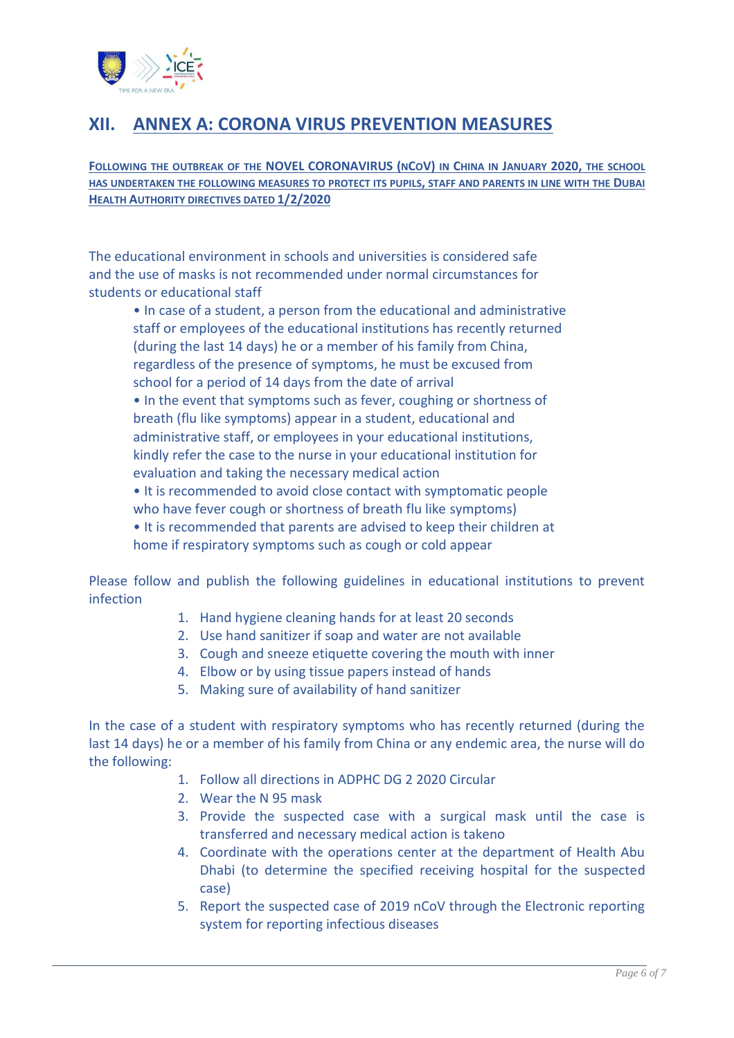

# <span id="page-5-0"></span>**XII. ANNEX A: CORONA VIRUS PREVENTION MEASURES**

**FOLLOWING THE OUTBREAK OF THE NOVEL CORONAVIRUS (NCOV) IN CHINA IN JANUARY 2020, THE SCHOOL HAS UNDERTAKEN THE FOLLOWING MEASURES TO PROTECT ITS PUPILS, STAFF AND PARENTS IN LINE WITH THE DUBAI HEALTH AUTHORITY DIRECTIVES DATED 1/2/2020**

The educational environment in schools and universities is considered safe and the use of masks is not recommended under normal circumstances for students or educational staff

• In case of a student, a person from the educational and administrative staff or employees of the educational institutions has recently returned (during the last 14 days) he or a member of his family from China, regardless of the presence of symptoms, he must be excused from school for a period of 14 days from the date of arrival • In the event that symptoms such as fever, coughing or shortness of breath (flu like symptoms) appear in a student, educational and administrative staff, or employees in your educational institutions, kindly refer the case to the nurse in your educational institution for evaluation and taking the necessary medical action • It is recommended to avoid close contact with symptomatic people who have fever cough or shortness of breath flu like symptoms) • It is recommended that parents are advised to keep their children at home if respiratory symptoms such as cough or cold appear

Please follow and publish the following guidelines in educational institutions to prevent infection

- 1. Hand hygiene cleaning hands for at least 20 seconds
- 2. Use hand sanitizer if soap and water are not available
- 3. Cough and sneeze etiquette covering the mouth with inner
- 4. Elbow or by using tissue papers instead of hands
- 5. Making sure of availability of hand sanitizer

In the case of a student with respiratory symptoms who has recently returned (during the last 14 days) he or a member of his family from China or any endemic area, the nurse will do the following:

- 1. Follow all directions in ADPHC DG 2 2020 Circular
- 2. Wear the N 95 mask
- 3. Provide the suspected case with a surgical mask until the case is transferred and necessary medical action is takeno
- 4. Coordinate with the operations center at the department of Health Abu Dhabi (to determine the specified receiving hospital for the suspected case)
- 5. Report the suspected case of 2019 nCoV through the Electronic reporting system for reporting infectious diseases